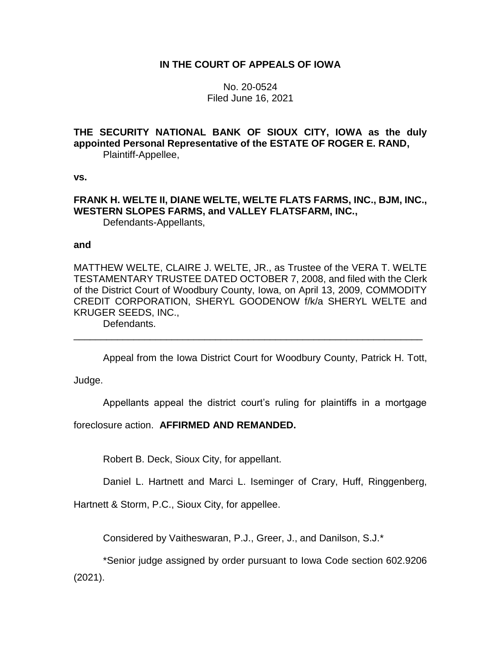# **IN THE COURT OF APPEALS OF IOWA**

No. 20-0524 Filed June 16, 2021

**THE SECURITY NATIONAL BANK OF SIOUX CITY, IOWA as the duly appointed Personal Representative of the ESTATE OF ROGER E. RAND,** Plaintiff-Appellee,

**vs.**

**FRANK H. WELTE II, DIANE WELTE, WELTE FLATS FARMS, INC., BJM, INC., WESTERN SLOPES FARMS, and VALLEY FLATSFARM, INC.,** Defendants-Appellants,

#### **and**

MATTHEW WELTE, CLAIRE J. WELTE, JR., as Trustee of the VERA T. WELTE TESTAMENTARY TRUSTEE DATED OCTOBER 7, 2008, and filed with the Clerk of the District Court of Woodbury County, Iowa, on April 13, 2009, COMMODITY CREDIT CORPORATION, SHERYL GOODENOW f/k/a SHERYL WELTE and KRUGER SEEDS, INC.,

\_\_\_\_\_\_\_\_\_\_\_\_\_\_\_\_\_\_\_\_\_\_\_\_\_\_\_\_\_\_\_\_\_\_\_\_\_\_\_\_\_\_\_\_\_\_\_\_\_\_\_\_\_\_\_\_\_\_\_\_\_\_\_\_

Defendants.

Appeal from the Iowa District Court for Woodbury County, Patrick H. Tott,

Judge.

Appellants appeal the district court's ruling for plaintiffs in a mortgage

foreclosure action. **AFFIRMED AND REMANDED.**

Robert B. Deck, Sioux City, for appellant.

Daniel L. Hartnett and Marci L. Iseminger of Crary, Huff, Ringgenberg,

Hartnett & Storm, P.C., Sioux City, for appellee.

Considered by Vaitheswaran, P.J., Greer, J., and Danilson, S.J.\*

\*Senior judge assigned by order pursuant to Iowa Code section 602.9206 (2021).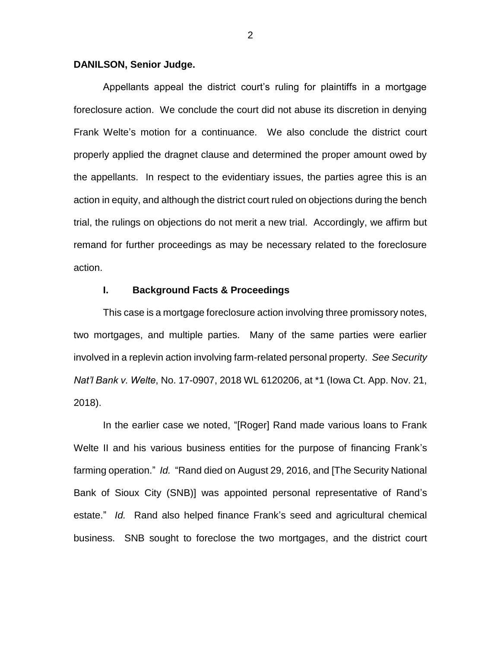### **DANILSON, Senior Judge.**

Appellants appeal the district court's ruling for plaintiffs in a mortgage foreclosure action. We conclude the court did not abuse its discretion in denying Frank Welte's motion for a continuance. We also conclude the district court properly applied the dragnet clause and determined the proper amount owed by the appellants. In respect to the evidentiary issues, the parties agree this is an action in equity, and although the district court ruled on objections during the bench trial, the rulings on objections do not merit a new trial. Accordingly, we affirm but remand for further proceedings as may be necessary related to the foreclosure action.

### **I. Background Facts & Proceedings**

This case is a mortgage foreclosure action involving three promissory notes, two mortgages, and multiple parties. Many of the same parties were earlier involved in a replevin action involving farm-related personal property. *See Security Nat'l Bank v. Welte*, No. 17-0907, 2018 WL 6120206, at \*1 (Iowa Ct. App. Nov. 21, 2018).

In the earlier case we noted, "[Roger] Rand made various loans to Frank Welte II and his various business entities for the purpose of financing Frank's farming operation." *Id.* "Rand died on August 29, 2016, and [The Security National Bank of Sioux City (SNB)] was appointed personal representative of Rand's estate." *Id.* Rand also helped finance Frank's seed and agricultural chemical business. SNB sought to foreclose the two mortgages, and the district court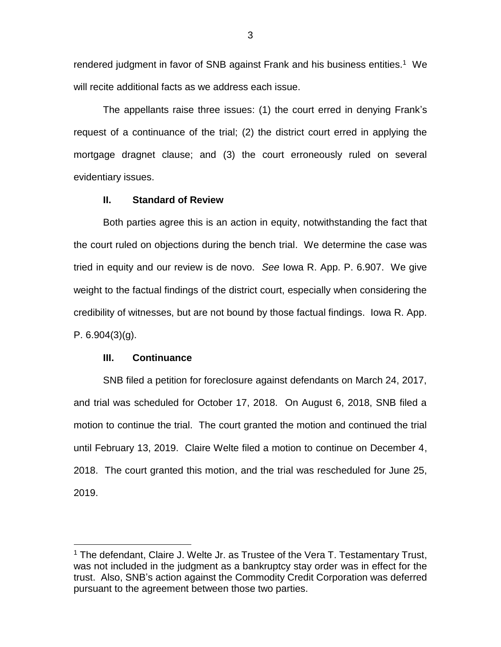rendered judgment in favor of SNB against Frank and his business entities.<sup>1</sup> We will recite additional facts as we address each issue.

The appellants raise three issues: (1) the court erred in denying Frank's request of a continuance of the trial; (2) the district court erred in applying the mortgage dragnet clause; and (3) the court erroneously ruled on several evidentiary issues.

## **II. Standard of Review**

Both parties agree this is an action in equity, notwithstanding the fact that the court ruled on objections during the bench trial. We determine the case was tried in equity and our review is de novo. *See* Iowa R. App. P. 6.907. We give weight to the factual findings of the district court, especially when considering the credibility of witnesses, but are not bound by those factual findings. Iowa R. App. P.  $6.904(3)(q)$ .

### **III. Continuance**

 $\overline{a}$ 

SNB filed a petition for foreclosure against defendants on March 24, 2017, and trial was scheduled for October 17, 2018. On August 6, 2018, SNB filed a motion to continue the trial. The court granted the motion and continued the trial until February 13, 2019. Claire Welte filed a motion to continue on December 4, 2018. The court granted this motion, and the trial was rescheduled for June 25, 2019.

<sup>&</sup>lt;sup>1</sup> The defendant, Claire J. Welte Jr. as Trustee of the Vera T. Testamentary Trust, was not included in the judgment as a bankruptcy stay order was in effect for the trust. Also, SNB's action against the Commodity Credit Corporation was deferred pursuant to the agreement between those two parties.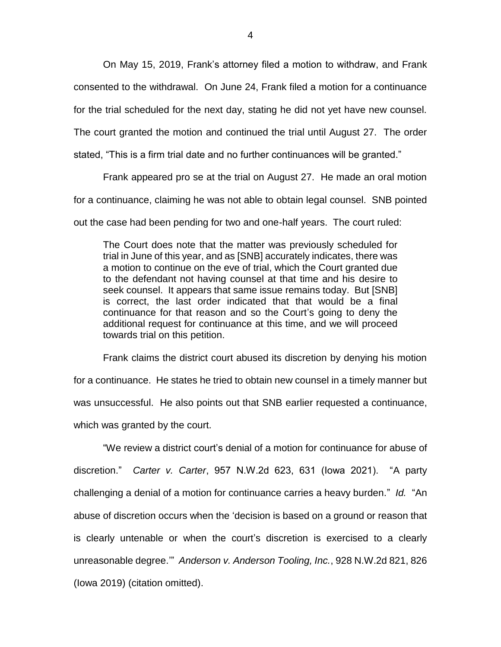On May 15, 2019, Frank's attorney filed a motion to withdraw, and Frank consented to the withdrawal. On June 24, Frank filed a motion for a continuance for the trial scheduled for the next day, stating he did not yet have new counsel. The court granted the motion and continued the trial until August 27. The order stated, "This is a firm trial date and no further continuances will be granted."

Frank appeared pro se at the trial on August 27. He made an oral motion for a continuance, claiming he was not able to obtain legal counsel. SNB pointed out the case had been pending for two and one-half years. The court ruled:

The Court does note that the matter was previously scheduled for trial in June of this year, and as [SNB] accurately indicates, there was a motion to continue on the eve of trial, which the Court granted due to the defendant not having counsel at that time and his desire to seek counsel. It appears that same issue remains today. But [SNB] is correct, the last order indicated that that would be a final continuance for that reason and so the Court's going to deny the additional request for continuance at this time, and we will proceed towards trial on this petition.

Frank claims the district court abused its discretion by denying his motion for a continuance. He states he tried to obtain new counsel in a timely manner but was unsuccessful. He also points out that SNB earlier requested a continuance, which was granted by the court.

"We review a district court's denial of a motion for continuance for abuse of discretion." *Carter v. Carter*, 957 N.W.2d 623, 631 (Iowa 2021). "A party challenging a denial of a motion for continuance carries a heavy burden." *Id.* "An abuse of discretion occurs when the 'decision is based on a ground or reason that is clearly untenable or when the court's discretion is exercised to a clearly unreasonable degree.'" *Anderson v. Anderson Tooling, Inc.*, 928 N.W.2d 821, 826 (Iowa 2019) (citation omitted).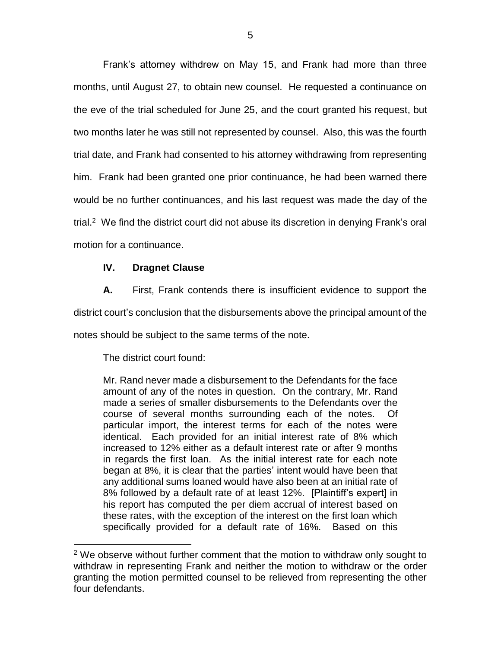Frank's attorney withdrew on May 15, and Frank had more than three months, until August 27, to obtain new counsel. He requested a continuance on the eve of the trial scheduled for June 25, and the court granted his request, but two months later he was still not represented by counsel. Also, this was the fourth trial date, and Frank had consented to his attorney withdrawing from representing him. Frank had been granted one prior continuance, he had been warned there would be no further continuances, and his last request was made the day of the trial.<sup>2</sup> We find the district court did not abuse its discretion in denying Frank's oral motion for a continuance.

# **IV. Dragnet Clause**

**A.** First, Frank contends there is insufficient evidence to support the district court's conclusion that the disbursements above the principal amount of the notes should be subject to the same terms of the note.

The district court found:

 $\overline{a}$ 

Mr. Rand never made a disbursement to the Defendants for the face amount of any of the notes in question. On the contrary, Mr. Rand made a series of smaller disbursements to the Defendants over the course of several months surrounding each of the notes. Of particular import, the interest terms for each of the notes were identical. Each provided for an initial interest rate of 8% which increased to 12% either as a default interest rate or after 9 months in regards the first loan. As the initial interest rate for each note began at 8%, it is clear that the parties' intent would have been that any additional sums loaned would have also been at an initial rate of 8% followed by a default rate of at least 12%. [Plaintiff's expert] in his report has computed the per diem accrual of interest based on these rates, with the exception of the interest on the first loan which specifically provided for a default rate of 16%. Based on this

 $2$  We observe without further comment that the motion to withdraw only sought to withdraw in representing Frank and neither the motion to withdraw or the order granting the motion permitted counsel to be relieved from representing the other four defendants.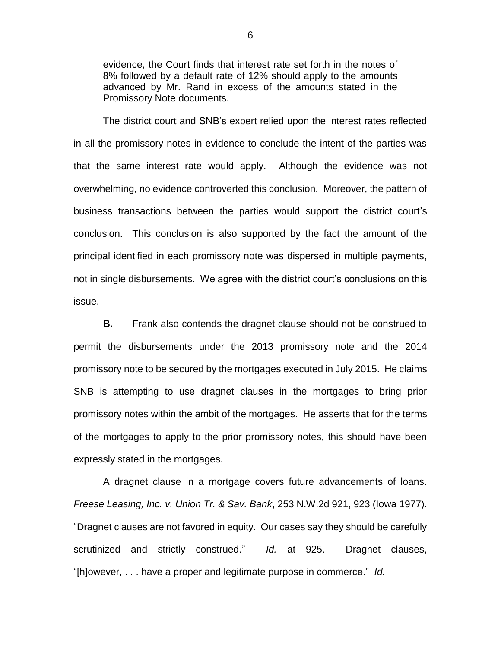evidence, the Court finds that interest rate set forth in the notes of 8% followed by a default rate of 12% should apply to the amounts advanced by Mr. Rand in excess of the amounts stated in the Promissory Note documents.

The district court and SNB's expert relied upon the interest rates reflected in all the promissory notes in evidence to conclude the intent of the parties was that the same interest rate would apply. Although the evidence was not overwhelming, no evidence controverted this conclusion. Moreover, the pattern of business transactions between the parties would support the district court's conclusion. This conclusion is also supported by the fact the amount of the principal identified in each promissory note was dispersed in multiple payments, not in single disbursements. We agree with the district court's conclusions on this issue.

**B.** Frank also contends the dragnet clause should not be construed to permit the disbursements under the 2013 promissory note and the 2014 promissory note to be secured by the mortgages executed in July 2015. He claims SNB is attempting to use dragnet clauses in the mortgages to bring prior promissory notes within the ambit of the mortgages. He asserts that for the terms of the mortgages to apply to the prior promissory notes, this should have been expressly stated in the mortgages.

A dragnet clause in a mortgage covers future advancements of loans. *Freese Leasing, Inc. v. Union Tr. & Sav. Bank*, 253 N.W.2d 921, 923 (Iowa 1977). "Dragnet clauses are not favored in equity. Our cases say they should be carefully scrutinized and strictly construed." *Id.* at 925. Dragnet clauses, "[h]owever, . . . have a proper and legitimate purpose in commerce." *Id.*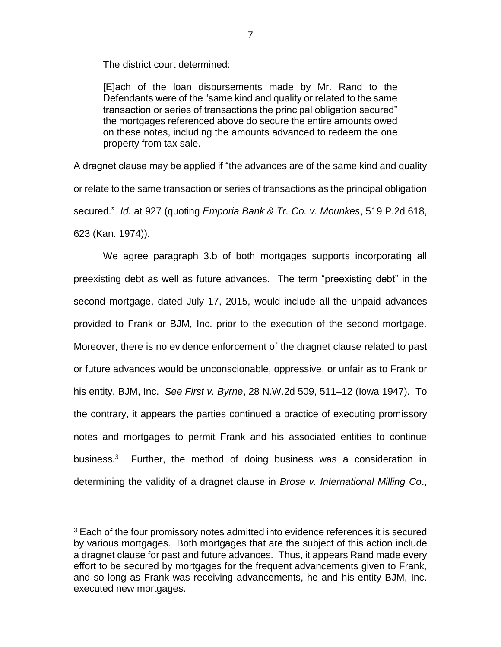The district court determined:

[E]ach of the loan disbursements made by Mr. Rand to the Defendants were of the "same kind and quality or related to the same transaction or series of transactions the principal obligation secured" the mortgages referenced above do secure the entire amounts owed on these notes, including the amounts advanced to redeem the one property from tax sale.

A dragnet clause may be applied if "the advances are of the same kind and quality or relate to the same transaction or series of transactions as the principal obligation secured." *Id.* at 927 (quoting *Emporia Bank & Tr. Co. v. Mounkes*, 519 P.2d 618, 623 (Kan. 1974)).

We agree paragraph 3.b of both mortgages supports incorporating all preexisting debt as well as future advances. The term "preexisting debt" in the second mortgage, dated July 17, 2015, would include all the unpaid advances provided to Frank or BJM, Inc. prior to the execution of the second mortgage. Moreover, there is no evidence enforcement of the dragnet clause related to past or future advances would be unconscionable, oppressive, or unfair as to Frank or his entity, BJM, Inc. *See First v. Byrne*, 28 N.W.2d 509, 511–12 (Iowa 1947). To the contrary, it appears the parties continued a practice of executing promissory notes and mortgages to permit Frank and his associated entities to continue business.<sup>3</sup> Further, the method of doing business was a consideration in determining the validity of a dragnet clause in *Brose v. International Milling Co*.,

 $\overline{a}$ 

<sup>&</sup>lt;sup>3</sup> Each of the four promissory notes admitted into evidence references it is secured by various mortgages. Both mortgages that are the subject of this action include a dragnet clause for past and future advances. Thus, it appears Rand made every effort to be secured by mortgages for the frequent advancements given to Frank, and so long as Frank was receiving advancements, he and his entity BJM, Inc. executed new mortgages.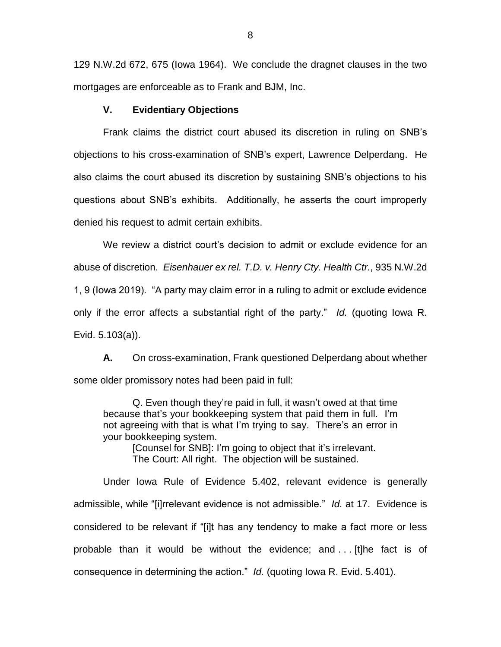129 N.W.2d 672, 675 (Iowa 1964). We conclude the dragnet clauses in the two mortgages are enforceable as to Frank and BJM, Inc.

### **V. Evidentiary Objections**

Frank claims the district court abused its discretion in ruling on SNB's objections to his cross-examination of SNB's expert, Lawrence Delperdang. He also claims the court abused its discretion by sustaining SNB's objections to his questions about SNB's exhibits. Additionally, he asserts the court improperly denied his request to admit certain exhibits.

We review a district court's decision to admit or exclude evidence for an abuse of discretion. *Eisenhauer ex rel. T.D. v. Henry Cty. Health Ctr.*, 935 N.W.2d 1, 9 (Iowa 2019). "A party may claim error in a ruling to admit or exclude evidence only if the error affects a substantial right of the party." *Id.* (quoting Iowa R. Evid. 5.103(a)).

**A.** On cross-examination, Frank questioned Delperdang about whether some older promissory notes had been paid in full:

Q. Even though they're paid in full, it wasn't owed at that time because that's your bookkeeping system that paid them in full. I'm not agreeing with that is what I'm trying to say. There's an error in your bookkeeping system.

> [Counsel for SNB]: I'm going to object that it's irrelevant. The Court: All right. The objection will be sustained.

Under Iowa Rule of Evidence 5.402, relevant evidence is generally admissible, while "[i]rrelevant evidence is not admissible." *Id.* at 17. Evidence is considered to be relevant if "[i]t has any tendency to make a fact more or less probable than it would be without the evidence; and . . . [t]he fact is of consequence in determining the action." *Id.* (quoting Iowa R. Evid. 5.401).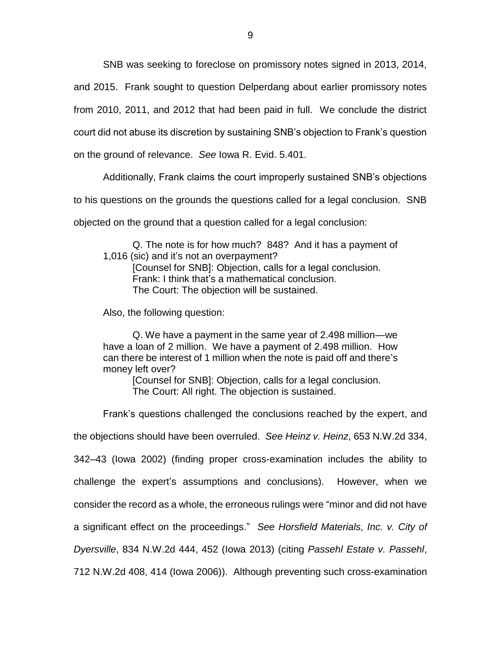SNB was seeking to foreclose on promissory notes signed in 2013, 2014,

and 2015. Frank sought to question Delperdang about earlier promissory notes

from 2010, 2011, and 2012 that had been paid in full. We conclude the district

court did not abuse its discretion by sustaining SNB's objection to Frank's question

on the ground of relevance. *See* Iowa R. Evid. 5.401.

Additionally, Frank claims the court improperly sustained SNB's objections

to his questions on the grounds the questions called for a legal conclusion. SNB

objected on the ground that a question called for a legal conclusion:

Q. The note is for how much? 848? And it has a payment of 1,016 (sic) and it's not an overpayment?

[Counsel for SNB]: Objection, calls for a legal conclusion. Frank: I think that's a mathematical conclusion. The Court: The objection will be sustained.

Also, the following question:

Q. We have a payment in the same year of 2.498 million—we have a loan of 2 million. We have a payment of 2.498 million. How can there be interest of 1 million when the note is paid off and there's money left over?

[Counsel for SNB]: Objection, calls for a legal conclusion. The Court: All right. The objection is sustained.

Frank's questions challenged the conclusions reached by the expert, and

the objections should have been overruled. *See Heinz v. Heinz*, 653 N.W.2d 334,

342–43 (Iowa 2002) (finding proper cross-examination includes the ability to challenge the expert's assumptions and conclusions). However, when we consider the record as a whole, the erroneous rulings were "minor and did not have a significant effect on the proceedings." *See Horsfield Materials, Inc. v. City of Dyersville*, 834 N.W.2d 444, 452 (Iowa 2013) (citing *Passehl Estate v. Passehl*, 712 N.W.2d 408, 414 (Iowa 2006)). Although preventing such cross-examination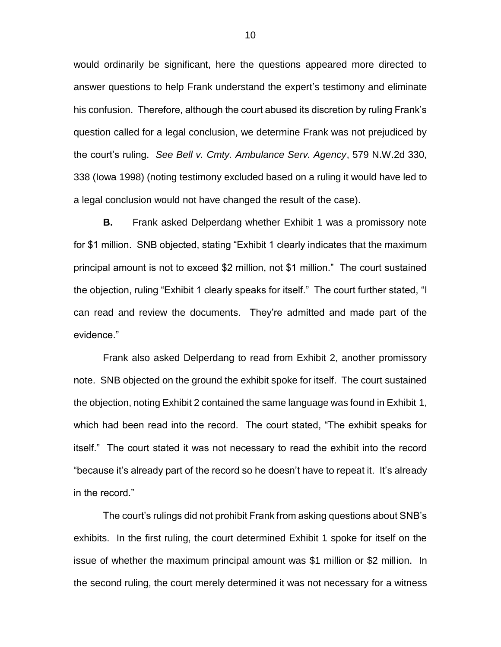would ordinarily be significant, here the questions appeared more directed to answer questions to help Frank understand the expert's testimony and eliminate his confusion. Therefore, although the court abused its discretion by ruling Frank's question called for a legal conclusion, we determine Frank was not prejudiced by the court's ruling. *See Bell v. Cmty. Ambulance Serv. Agency*, 579 N.W.2d 330, 338 (Iowa 1998) (noting testimony excluded based on a ruling it would have led to a legal conclusion would not have changed the result of the case).

**B.** Frank asked Delperdang whether Exhibit 1 was a promissory note for \$1 million. SNB objected, stating "Exhibit 1 clearly indicates that the maximum principal amount is not to exceed \$2 million, not \$1 million." The court sustained the objection, ruling "Exhibit 1 clearly speaks for itself." The court further stated, "I can read and review the documents. They're admitted and made part of the evidence."

Frank also asked Delperdang to read from Exhibit 2, another promissory note. SNB objected on the ground the exhibit spoke for itself. The court sustained the objection, noting Exhibit 2 contained the same language was found in Exhibit 1, which had been read into the record. The court stated, "The exhibit speaks for itself." The court stated it was not necessary to read the exhibit into the record "because it's already part of the record so he doesn't have to repeat it. It's already in the record."

The court's rulings did not prohibit Frank from asking questions about SNB's exhibits. In the first ruling, the court determined Exhibit 1 spoke for itself on the issue of whether the maximum principal amount was \$1 million or \$2 million. In the second ruling, the court merely determined it was not necessary for a witness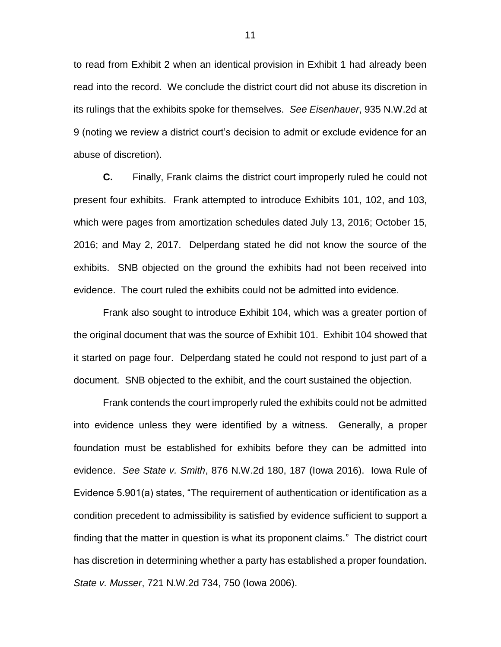to read from Exhibit 2 when an identical provision in Exhibit 1 had already been read into the record. We conclude the district court did not abuse its discretion in its rulings that the exhibits spoke for themselves. *See Eisenhauer*, 935 N.W.2d at 9 (noting we review a district court's decision to admit or exclude evidence for an abuse of discretion).

**C.** Finally, Frank claims the district court improperly ruled he could not present four exhibits. Frank attempted to introduce Exhibits 101, 102, and 103, which were pages from amortization schedules dated July 13, 2016; October 15, 2016; and May 2, 2017. Delperdang stated he did not know the source of the exhibits. SNB objected on the ground the exhibits had not been received into evidence. The court ruled the exhibits could not be admitted into evidence.

Frank also sought to introduce Exhibit 104, which was a greater portion of the original document that was the source of Exhibit 101. Exhibit 104 showed that it started on page four. Delperdang stated he could not respond to just part of a document. SNB objected to the exhibit, and the court sustained the objection.

Frank contends the court improperly ruled the exhibits could not be admitted into evidence unless they were identified by a witness. Generally, a proper foundation must be established for exhibits before they can be admitted into evidence. *See State v. Smith*, 876 N.W.2d 180, 187 (Iowa 2016). Iowa Rule of Evidence 5.901(a) states, "The requirement of authentication or identification as a condition precedent to admissibility is satisfied by evidence sufficient to support a finding that the matter in question is what its proponent claims." The district court has discretion in determining whether a party has established a proper foundation. *State v. Musser*, 721 N.W.2d 734, 750 (Iowa 2006).